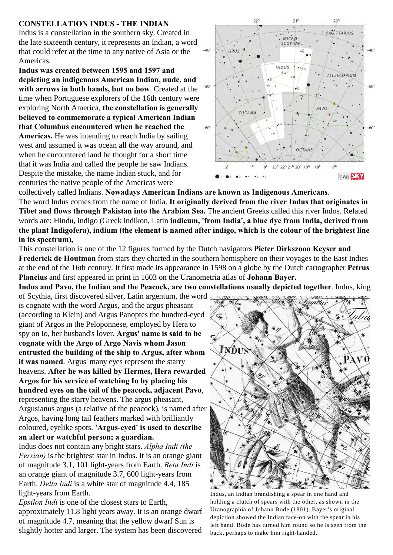## **CONSTELLATION INDUS - THE INDIAN**

Indus is a constellation in the southern sky. Created in the late sixteenth century, it represents an Indian, a word that could refer at the time to any native of Asia or the Americas.

**Indus was created between 1595 and 1597 and depicting an indigenous American Indian, nude, and with arrows in both hands, but no bow**. Created at the time when Portuguese explorers of the 16th century were exploring North America, **the constellation is generally believed to commemorate a typical American Indian that Columbus encountered when he reached the Americas.** He was intending to reach India by sailing west and assumed it was ocean all the way around, and when he encountered land he thought for a short time that it was India and called the people he saw Indians. Despite the mistake, the name Indian stuck, and for centuries the native people of the Americas were



collectively called Indians. **Nowadays American Indians are known as Indigenous Americans**. The word Indus comes from the name of India. **It originally derived from the river Indus that originates in Tibet and flows through Pakistan into the Arabian Sea.** The ancient Greeks called this river Indos. Related words are: Hindu, indigo (Greek indikon, Latin **indicum, 'from India', a blue dye from India, derived from the plant Indigofera), indium (the element is named after indigo, which is the colour of the brightest line in its spectrum),** 

This constellation is one of the 12 figures formed by the Dutch navigators **Pieter Dirkszoon Keyser and Frederick de Houtman** from stars they charted in the southern hemisphere on their voyages to the East Indies at the end of the 16th century. It first made its appearance in 1598 on a globe by the Dutch cartographer **Petrus Plancius** and first appeared in print in 1603 on the Uranometria atlas of **Johann Bayer.** 

**Indus and Pavo, the Indian and the Peacock, are two constellations usually depicted together**. Indus, king

of Scythia, first discovered silver, Latin argentum, the word is cognate with the word Argus, and the argus pheasant (according to Klein) and Argus Panoptes the hundred-eyed giant of Argos in the Peloponnese, employed by Hera to spy on Io, her husband's lover. **Argus' name is said to be cognate with the Argo of Argo Navis whom Jason entrusted the building of the ship to Argus, after whom it was named**. Argus' many eyes represent the starry heavens. **After he was killed by Hermes, Hera rewarded Argos for his service of watching Io by placing his hundred eyes on the tail of the peacock, adjacent Pavo**, representing the starry heavens. The argus pheasant, Argusianus argus (a relative of the peacock), is named after Argos, having long tail feathers marked with brilliantly coloured, eyelike spots. **'Argus-eyed' is used to describe an alert or watchful person; a guardian.** 

Indus does not contain any bright stars. *Alpha Indi (the Persian)* is the brightest star in Indus. It is an orange giant of magnitude 3.1, 101 light-years from Earth. *Beta Indi* is an orange giant of magnitude 3.7, 600 light-years from Earth. *Delta Indi* is a white star of magnitude 4.4, 185 light-years from Earth.

*Epsilon Indi* is one of the closest stars to Earth, approximately 11.8 light years away. It is an orange dwarf of magnitude 4.7, meaning that the yellow dwarf Sun is slightly hotter and larger. The system has been discovered



Indus, an Indian brandishing a spear in one hand and holding a clutch of spears with the other, as shown in the Uranographia of Johann Bode (1801). Bayer's original depiction showed the Indian face-on with the spear in his left hand. Bode has turned him round so he is seen from the back, perhaps to make him right-handed.